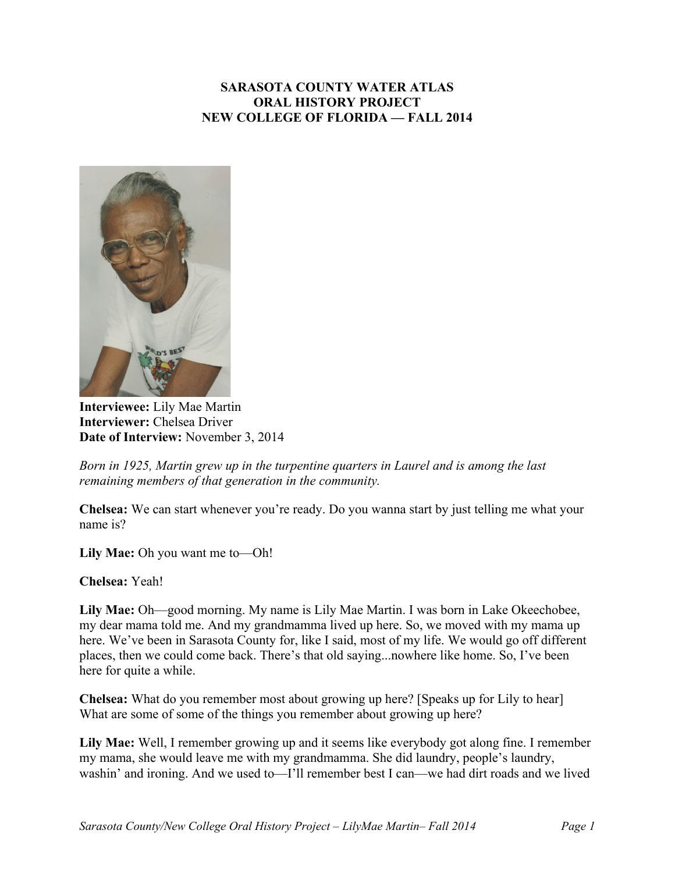# **SARASOTA COUNTY WATER ATLAS ORAL HISTORY PROJECT NEW COLLEGE OF FLORIDA — FALL 2014**



**Interviewee:** Lily Mae Martin **Interviewer:** Chelsea Driver **Date of Interview:** November 3, 2014

*Born in 1925, Martin grew up in the turpentine quarters in Laurel and is among the last remaining members of that generation in the community.* 

**Chelsea:** We can start whenever you're ready. Do you wanna start by just telling me what your name is?

**Lily Mae:** Oh you want me to—Oh!

**Chelsea:** Yeah!

**Lily Mae:** Oh—good morning. My name is Lily Mae Martin. I was born in Lake Okeechobee, my dear mama told me. And my grandmamma lived up here. So, we moved with my mama up here. We've been in Sarasota County for, like I said, most of my life. We would go off different places, then we could come back. There's that old saying...nowhere like home. So, I've been here for quite a while.

**Chelsea:** What do you remember most about growing up here? [Speaks up for Lily to hear] What are some of some of the things you remember about growing up here?

**Lily Mae:** Well, I remember growing up and it seems like everybody got along fine. I remember my mama, she would leave me with my grandmamma. She did laundry, people's laundry, washin' and ironing. And we used to—I'll remember best I can—we had dirt roads and we lived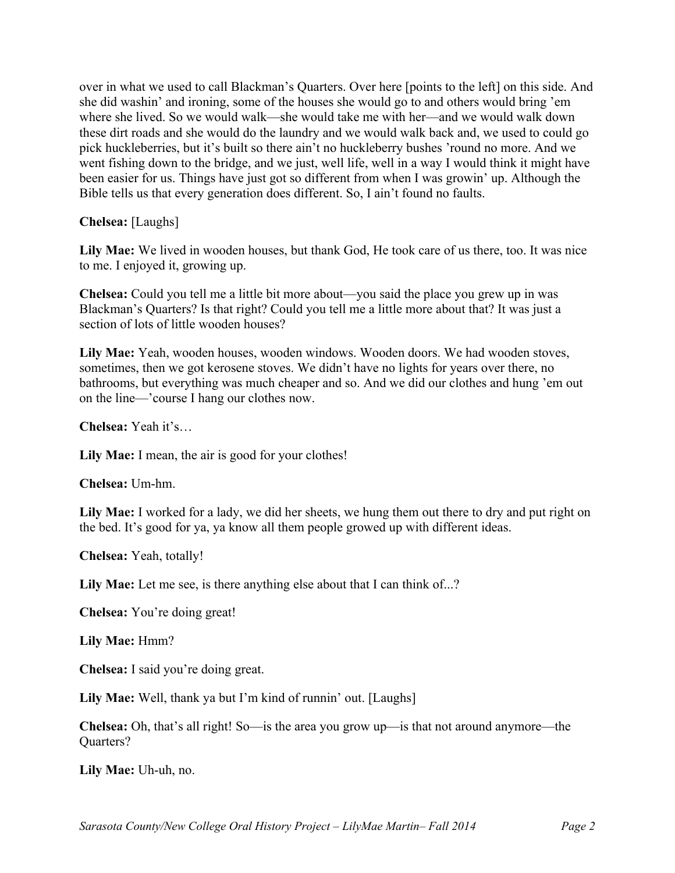over in what we used to call Blackman's Quarters. Over here [points to the left] on this side. And she did washin' and ironing, some of the houses she would go to and others would bring 'em where she lived. So we would walk—she would take me with her—and we would walk down these dirt roads and she would do the laundry and we would walk back and, we used to could go pick huckleberries, but it's built so there ain't no huckleberry bushes 'round no more. And we went fishing down to the bridge, and we just, well life, well in a way I would think it might have been easier for us. Things have just got so different from when I was growin' up. Although the Bible tells us that every generation does different. So, I ain't found no faults.

**Chelsea:** [Laughs]

**Lily Mae:** We lived in wooden houses, but thank God, He took care of us there, too. It was nice to me. I enjoyed it, growing up.

**Chelsea:** Could you tell me a little bit more about—you said the place you grew up in was Blackman's Quarters? Is that right? Could you tell me a little more about that? It was just a section of lots of little wooden houses?

**Lily Mae:** Yeah, wooden houses, wooden windows. Wooden doors. We had wooden stoves, sometimes, then we got kerosene stoves. We didn't have no lights for years over there, no bathrooms, but everything was much cheaper and so. And we did our clothes and hung 'em out on the line—'course I hang our clothes now.

**Chelsea:** Yeah it's…

**Lily Mae:** I mean, the air is good for your clothes!

**Chelsea:** Um-hm.

Lily Mae: I worked for a lady, we did her sheets, we hung them out there to dry and put right on the bed. It's good for ya, ya know all them people growed up with different ideas.

**Chelsea:** Yeah, totally!

Lily Mae: Let me see, is there anything else about that I can think of...?

**Chelsea:** You're doing great!

**Lily Mae:** Hmm?

**Chelsea:** I said you're doing great.

**Lily Mae:** Well, thank ya but I'm kind of runnin' out. [Laughs]

**Chelsea:** Oh, that's all right! So—is the area you grow up—is that not around anymore—the Quarters?

**Lily Mae:** Uh-uh, no.

*Sarasota County/New College Oral History Project – LilyMae Martin– Fall 2014 Page 2*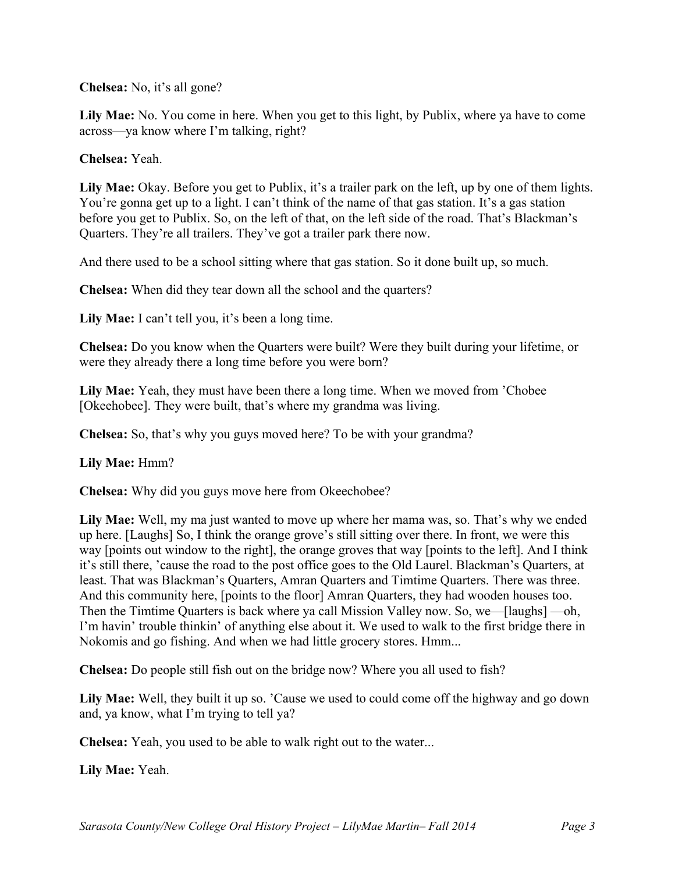**Chelsea:** No, it's all gone?

**Lily Mae:** No. You come in here. When you get to this light, by Publix, where ya have to come across—ya know where I'm talking, right?

## **Chelsea:** Yeah.

**Lily Mae:** Okay. Before you get to Publix, it's a trailer park on the left, up by one of them lights. You're gonna get up to a light. I can't think of the name of that gas station. It's a gas station before you get to Publix. So, on the left of that, on the left side of the road. That's Blackman's Quarters. They're all trailers. They've got a trailer park there now.

And there used to be a school sitting where that gas station. So it done built up, so much.

**Chelsea:** When did they tear down all the school and the quarters?

**Lily Mae:** I can't tell you, it's been a long time.

**Chelsea:** Do you know when the Quarters were built? Were they built during your lifetime, or were they already there a long time before you were born?

**Lily Mae:** Yeah, they must have been there a long time. When we moved from 'Chobee [Okeehobee]. They were built, that's where my grandma was living.

**Chelsea:** So, that's why you guys moved here? To be with your grandma?

**Lily Mae:** Hmm?

**Chelsea:** Why did you guys move here from Okeechobee?

**Lily Mae:** Well, my ma just wanted to move up where her mama was, so. That's why we ended up here. [Laughs] So, I think the orange grove's still sitting over there. In front, we were this way [points out window to the right], the orange groves that way [points to the left]. And I think it's still there, 'cause the road to the post office goes to the Old Laurel. Blackman's Quarters, at least. That was Blackman's Quarters, Amran Quarters and Timtime Quarters. There was three. And this community here, [points to the floor] Amran Quarters, they had wooden houses too. Then the Timtime Quarters is back where ya call Mission Valley now. So, we—[laughs] —oh, I'm havin' trouble thinkin' of anything else about it. We used to walk to the first bridge there in Nokomis and go fishing. And when we had little grocery stores. Hmm...

**Chelsea:** Do people still fish out on the bridge now? Where you all used to fish?

**Lily Mae:** Well, they built it up so. 'Cause we used to could come off the highway and go down and, ya know, what I'm trying to tell ya?

**Chelsea:** Yeah, you used to be able to walk right out to the water...

**Lily Mae:** Yeah.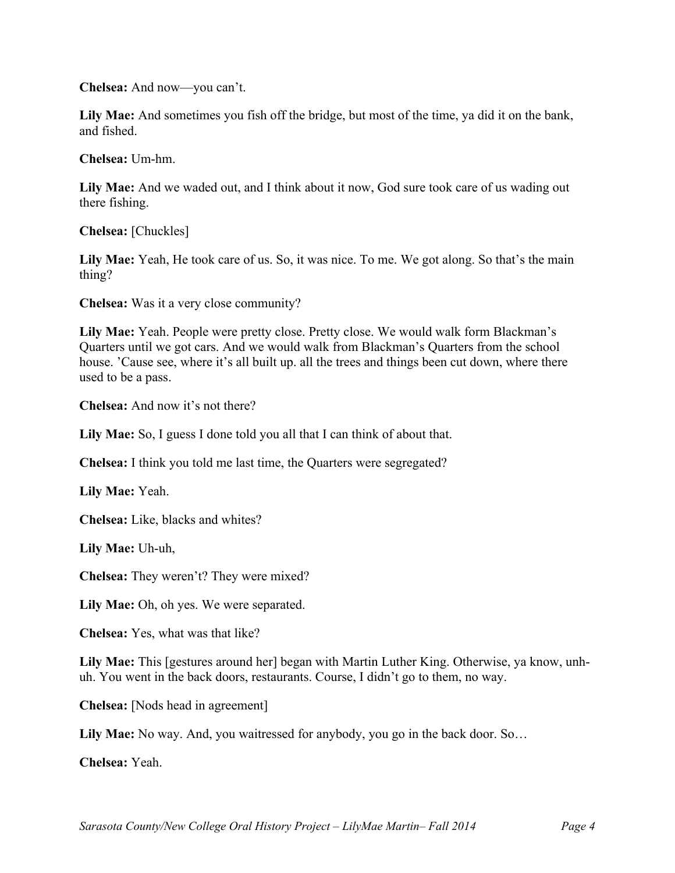**Chelsea:** And now—you can't.

**Lily Mae:** And sometimes you fish off the bridge, but most of the time, ya did it on the bank, and fished.

**Chelsea:** Um-hm.

**Lily Mae:** And we waded out, and I think about it now, God sure took care of us wading out there fishing.

**Chelsea:** [Chuckles]

**Lily Mae:** Yeah, He took care of us. So, it was nice. To me. We got along. So that's the main thing?

**Chelsea:** Was it a very close community?

**Lily Mae:** Yeah. People were pretty close. Pretty close. We would walk form Blackman's Quarters until we got cars. And we would walk from Blackman's Quarters from the school house. 'Cause see, where it's all built up. all the trees and things been cut down, where there used to be a pass.

**Chelsea:** And now it's not there?

**Lily Mae:** So, I guess I done told you all that I can think of about that.

**Chelsea:** I think you told me last time, the Quarters were segregated?

**Lily Mae:** Yeah.

**Chelsea:** Like, blacks and whites?

**Lily Mae:** Uh-uh,

**Chelsea:** They weren't? They were mixed?

**Lily Mae:** Oh, oh yes. We were separated.

**Chelsea:** Yes, what was that like?

**Lily Mae:** This [gestures around her] began with Martin Luther King. Otherwise, ya know, unhuh. You went in the back doors, restaurants. Course, I didn't go to them, no way.

**Chelsea:** [Nods head in agreement]

**Lily Mae:** No way. And, you waitressed for anybody, you go in the back door. So…

**Chelsea:** Yeah.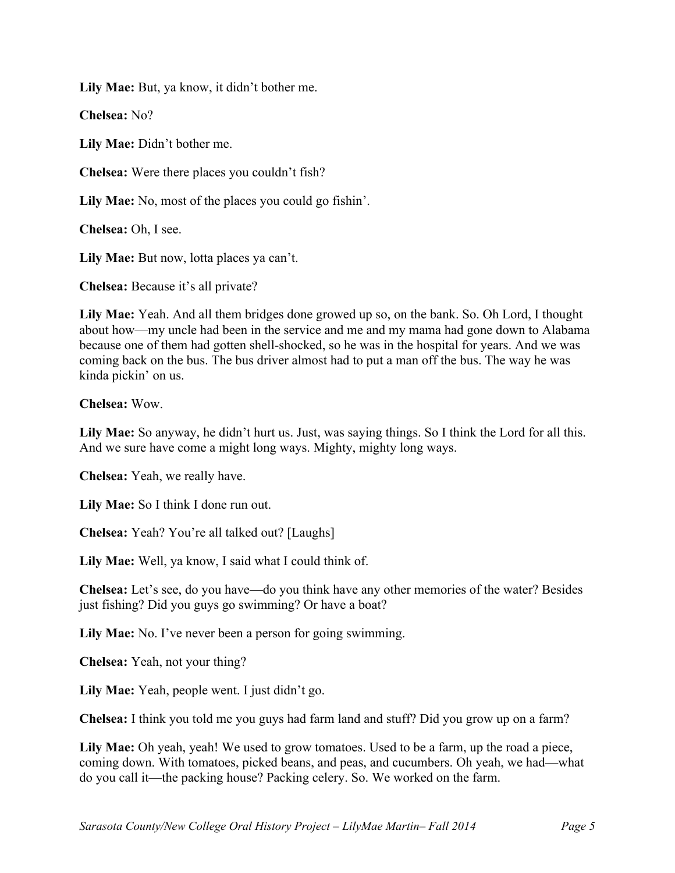**Lily Mae:** But, ya know, it didn't bother me.

**Chelsea:** No?

**Lily Mae:** Didn't bother me.

**Chelsea:** Were there places you couldn't fish?

**Lily Mae:** No, most of the places you could go fishin'.

**Chelsea:** Oh, I see.

**Lily Mae:** But now, lotta places ya can't.

**Chelsea:** Because it's all private?

**Lily Mae:** Yeah. And all them bridges done growed up so, on the bank. So. Oh Lord, I thought about how—my uncle had been in the service and me and my mama had gone down to Alabama because one of them had gotten shell-shocked, so he was in the hospital for years. And we was coming back on the bus. The bus driver almost had to put a man off the bus. The way he was kinda pickin' on us.

**Chelsea:** Wow.

**Lily Mae:** So anyway, he didn't hurt us. Just, was saying things. So I think the Lord for all this. And we sure have come a might long ways. Mighty, mighty long ways.

**Chelsea:** Yeah, we really have.

**Lily Mae:** So I think I done run out.

**Chelsea:** Yeah? You're all talked out? [Laughs]

**Lily Mae:** Well, ya know, I said what I could think of.

**Chelsea:** Let's see, do you have—do you think have any other memories of the water? Besides just fishing? Did you guys go swimming? Or have a boat?

**Lily Mae:** No. I've never been a person for going swimming.

**Chelsea:** Yeah, not your thing?

**Lily Mae:** Yeah, people went. I just didn't go.

**Chelsea:** I think you told me you guys had farm land and stuff? Did you grow up on a farm?

Lily Mae: Oh yeah, yeah! We used to grow tomatoes. Used to be a farm, up the road a piece, coming down. With tomatoes, picked beans, and peas, and cucumbers. Oh yeah, we had—what do you call it—the packing house? Packing celery. So. We worked on the farm.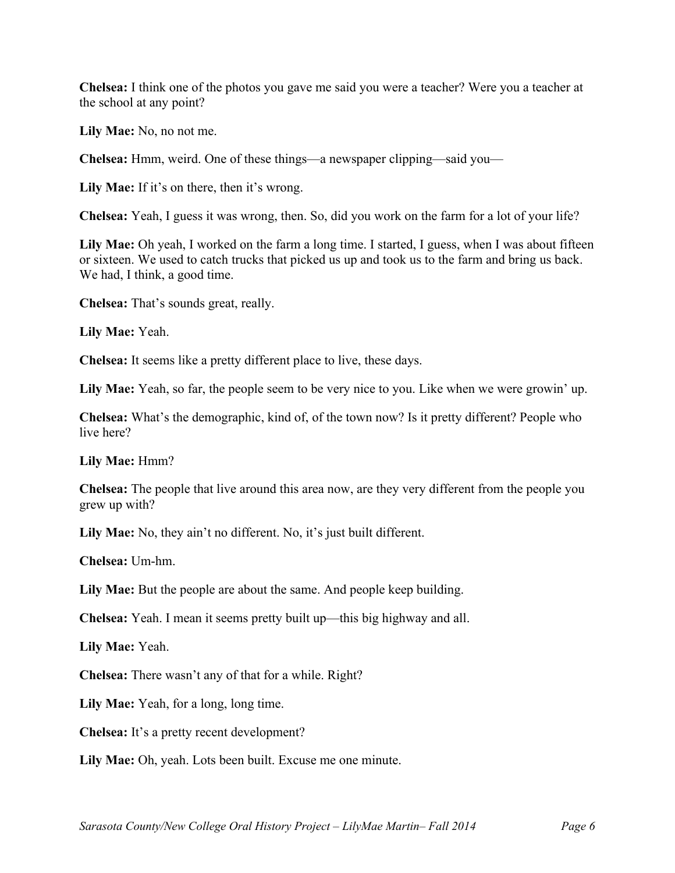**Chelsea:** I think one of the photos you gave me said you were a teacher? Were you a teacher at the school at any point?

**Lily Mae:** No, no not me.

**Chelsea:** Hmm, weird. One of these things—a newspaper clipping—said you—

**Lily Mae:** If it's on there, then it's wrong.

**Chelsea:** Yeah, I guess it was wrong, then. So, did you work on the farm for a lot of your life?

**Lily Mae:** Oh yeah, I worked on the farm a long time. I started, I guess, when I was about fifteen or sixteen. We used to catch trucks that picked us up and took us to the farm and bring us back. We had, I think, a good time.

**Chelsea:** That's sounds great, really.

**Lily Mae:** Yeah.

**Chelsea:** It seems like a pretty different place to live, these days.

**Lily Mae:** Yeah, so far, the people seem to be very nice to you. Like when we were growin' up.

**Chelsea:** What's the demographic, kind of, of the town now? Is it pretty different? People who live here?

**Lily Mae:** Hmm?

**Chelsea:** The people that live around this area now, are they very different from the people you grew up with?

Lily Mae: No, they ain't no different. No, it's just built different.

**Chelsea:** Um-hm.

**Lily Mae:** But the people are about the same. And people keep building.

**Chelsea:** Yeah. I mean it seems pretty built up—this big highway and all.

**Lily Mae:** Yeah.

**Chelsea:** There wasn't any of that for a while. Right?

**Lily Mae:** Yeah, for a long, long time.

**Chelsea:** It's a pretty recent development?

**Lily Mae:** Oh, yeah. Lots been built. Excuse me one minute.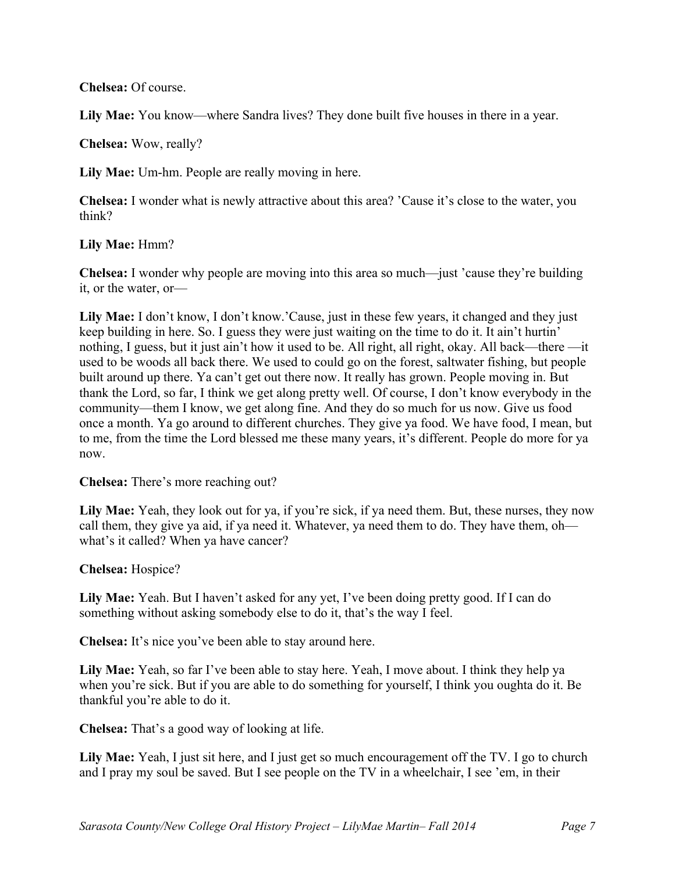## **Chelsea:** Of course.

Lily Mae: You know—where Sandra lives? They done built five houses in there in a year.

**Chelsea:** Wow, really?

**Lily Mae:** Um-hm. People are really moving in here.

**Chelsea:** I wonder what is newly attractive about this area? 'Cause it's close to the water, you think?

#### **Lily Mae:** Hmm?

**Chelsea:** I wonder why people are moving into this area so much—just 'cause they're building it, or the water, or—

Lily Mae: I don't know, I don't know.'Cause, just in these few years, it changed and they just keep building in here. So. I guess they were just waiting on the time to do it. It ain't hurtin' nothing, I guess, but it just ain't how it used to be. All right, all right, okay. All back—there —it used to be woods all back there. We used to could go on the forest, saltwater fishing, but people built around up there. Ya can't get out there now. It really has grown. People moving in. But thank the Lord, so far, I think we get along pretty well. Of course, I don't know everybody in the community—them I know, we get along fine. And they do so much for us now. Give us food once a month. Ya go around to different churches. They give ya food. We have food, I mean, but to me, from the time the Lord blessed me these many years, it's different. People do more for ya now.

#### **Chelsea:** There's more reaching out?

Lily Mae: Yeah, they look out for ya, if you're sick, if ya need them. But, these nurses, they now call them, they give ya aid, if ya need it. Whatever, ya need them to do. They have them, oh what's it called? When ya have cancer?

#### **Chelsea:** Hospice?

**Lily Mae:** Yeah. But I haven't asked for any yet, I've been doing pretty good. If I can do something without asking somebody else to do it, that's the way I feel.

**Chelsea:** It's nice you've been able to stay around here.

**Lily Mae:** Yeah, so far I've been able to stay here. Yeah, I move about. I think they help ya when you're sick. But if you are able to do something for yourself, I think you oughta do it. Be thankful you're able to do it.

**Chelsea:** That's a good way of looking at life.

**Lily Mae:** Yeah, I just sit here, and I just get so much encouragement off the TV. I go to church and I pray my soul be saved. But I see people on the TV in a wheelchair, I see 'em, in their